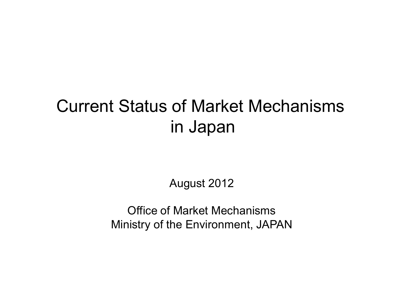# Current Status of Market Mechanisms in Japan

August 2012

Office of Market Mechanisms Ministry of the Environment, JAPAN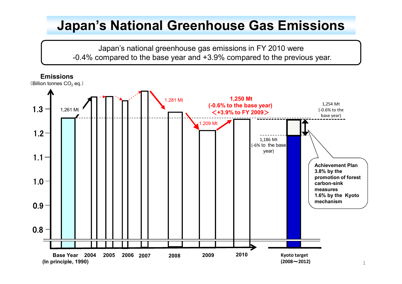# **Japan's National Greenhouse Gas Emissions**

Japan's national greenhouse gas emissions in FY 2010 were -0.4% compared to the base year and +3.9% compared to the previous year.

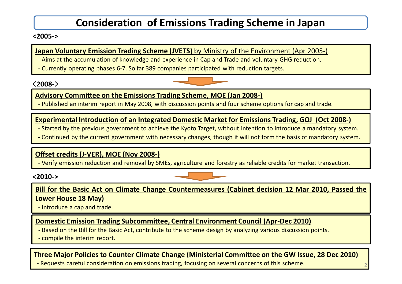# **Consideration of Emissions Trading Scheme in Japan**

#### **<2005->**

#### **Japan Voluntary Emission Trading Scheme (JVETS)** by Ministry of the Environment (Apr 2005-)

- Aims at the accumulation of knowledge and experience in Cap and Trade and voluntary GHG reduction.
- Currently operating phases 6-7. So far 389 companies participated with reduction targets.

#### <**2008-**>



#### **Advisory Committee on the Emissions Trading Scheme, MOE (Jan 2008-)**

- Published an interim report in May 2008, with discussion points and four scheme options for cap and trade.

#### **Experimental Introduction of an Integrated Domestic Market for Emissions Trading, GOJ (Oct 2008-)**

- Started by the previous government to achieve the Kyoto Target, without intention to introduce a mandatory system.

- Continued by the current government with necessary changes, though it will not form the basis of mandatory system.

#### **Offset credits (J-VER), MOE (Nov 2008-)**

- Verify emission reduction and removal by SMEs, agriculture and forestry as reliable credits for market transaction.

**<2010->**

**Bill for the Basic Act on Climate Change Countermeasures (Cabinet decision 12 Mar 2010, Passed the Lower House 18 May)**

- Introduce a cap and trade.

#### **Domestic Emission Trading Subcommittee, Central Environment Council (Apr-Dec 2010)**

- Based on the Bill for the Basic Act, contribute to the scheme design by analyzing various discussion points.
- compile the interim report.

#### **Three Major Policies to Counter Climate Change (Ministerial Committee on the GW Issue, 28 Dec 2010)**

- Requests careful consideration on emissions trading, focusing on several concerns of this scheme. 2

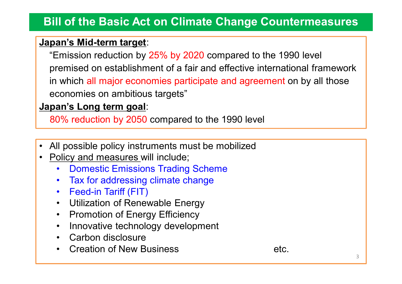# **Bill of the Basic Act on Climate Change Countermeasures**

# **Japan's Mid-term target**:

"Emission reduction by 25% by 2020 compared to the 1990 level premised on establishment of a fair and effective international framework in which all major economies participate and agreement on by all those economies on ambitious targets"

# **Japan's Long term goal**:

80% reduction by 2050 compared to the 1990 level

- All possible policy instruments must be mobilized
- Policy and measures will include;
	- Domestic Emissions Trading Scheme
	- Tax for addressing climate change
	- Feed-in Tariff (FIT)
	- Utilization of Renewable Energy
	- Promotion of Energy Efficiency
	- Innovative technology development
	- Carbon disclosure
	- **Creation of New Business Example 10** and the etc.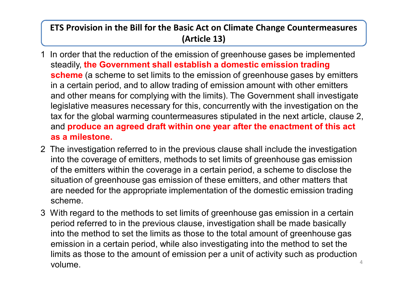# **ETS Provision in the Bill for the Basic Act on Climate Change Countermeasures (Article 13)**

- 1 In order that the reduction of the emission of greenhouse gases be implemented steadily, **the Government shall establish a domestic emission trading scheme** (a scheme to set limits to the emission of greenhouse gases by emitters in a certain period, and to allow trading of emission amount with other emitters and other means for complying with the limits). The Government shall investigate legislative measures necessary for this, concurrently with the investigation on the tax for the global warming countermeasures stipulated in the next article, clause 2, and **produce an agreed draft within one year after the enactment of this act as a milestone.**
- 2 The investigation referred to in the previous clause shall include the investigation into the coverage of emitters, methods to set limits of greenhouse gas emission of the emitters within the coverage in a certain period, a scheme to disclose the situation of greenhouse gas emission of these emitters, and other matters that are needed for the appropriate implementation of the domestic emission trading scheme.
- 3 With regard to the methods to set limits of greenhouse gas emission in a certain period referred to in the previous clause, investigation shall be made basically into the method to set the limits as those to the total amount of greenhouse gas emission in a certain period, while also investigating into the method to set the limits as those to the amount of emission per a unit of activity such as production  $\bullet$  volume.  $4\bullet$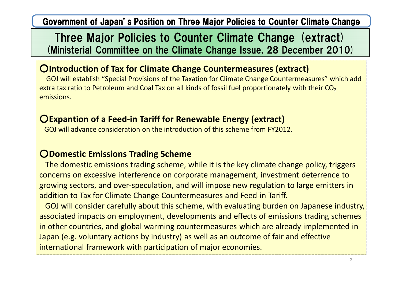Government of Japan's Position on Three Major Policies to Counter Climate Change

# Three Major Policies to Counter Climate Change (extract) (Ministerial Committee on the Climate Change Issue, 28 December 2010)

# ○**Introduction of Tax for Climate Change Countermeasures (extract)**

GOJ will establish "Special Provisions of the Taxation for Climate Change Countermeasures" which add extra tax ratio to Petroleum and Coal Tax on all kinds of fossil fuel proportionately with their  $CO<sub>2</sub>$ emissions.

## ○**Expantion of a Feed-in Tariff for Renewable Energy (extract)**

GOJ will advance consideration on the introduction of this scheme from FY2012.

# ○**Domestic Emissions Trading Scheme**

The domestic emissions trading scheme, while it is the key climate change policy, triggers concerns on excessive interference on corporate management, investment deterrence to growing sectors, and over-speculation, and will impose new regulation to large emitters in addition to Tax for Climate Change Countermeasures and Feed-in Tariff.

GOJ will consider carefully about this scheme, with evaluating burden on Japanese industry, associated impacts on employment, developments and effects of emissions trading schemes in other countries, and global warming countermeasures which are already implemented in Japan (e.g. voluntary actions by industry) as well as an outcome of fair and effective international framework with participation of major economies.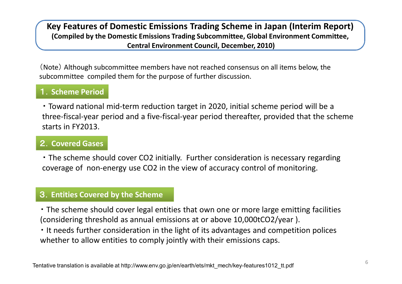#### **Key Features of Domestic Emissions Trading Scheme in Japan (Interim Report) (Compiled by the Domestic Emissions Trading Subcommittee, Global Environment Committee, Central Environment Council, December, 2010)**

(Note) Although subcommittee members have not reached consensus on all items below, the subcommittee compiled them for the purpose of further discussion.

### 1.**Scheme Period**

・ Toward national mid-term reduction target in 2020, initial scheme period will be a three-fiscal-year period and a five-fiscal-year period thereafter, provided that the scheme starts in FY2013.

### 2.**Covered Gases**

・ The scheme should cover CO2 initially. Further consideration is necessary regarding coverage of non-energy use CO2 in the view of accuracy control of monitoring.

#### 3.**Entities Covered by the Scheme**

・ The scheme should cover legal entities that own one or more large emitting facilities (considering threshold as annual emissions at or above 10,000tCO2/year ).

・ It needs further consideration in the light of its advantages and competition polices whether to allow entities to comply jointly with their emissions caps.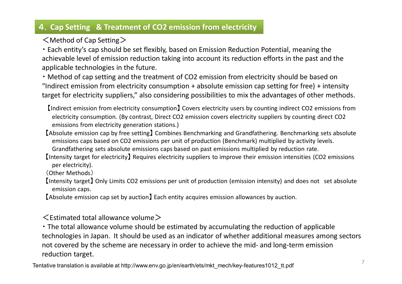### 4.**Cap Setting & Treatment of CO2 emission from electricity**

 $\leq$  Method of Cap Setting  $\geq$ 

・ Each entity's cap should be set flexibly, based on Emission Reduction Potential, meaning the achievable level of emission reduction taking into account its reduction efforts in the past and the applicable technologies in the future.

・ Method of cap setting and the treatment of CO2 emission from electricity should be based on "Indirect emission from electricity consumption + absolute emission cap setting for free) + intensity target for electricity suppliers," also considering possibilities to mix the advantages of other methods.

【Indirect emission from electricity consumption】 Covers electricity users by counting indirect CO2 emissions from electricity consumption. (By contrast, Direct CO2 emission covers electricity suppliers by counting direct CO2 emissions from electricity generation stations.)

- 【Absolute emission cap by free setting】 Combines Benchmarking and Grandfathering. Benchmarking sets absolute emissions caps based on CO2 emissions per unit of production (Benchmark) multiplied by activity levels. Grandfathering sets absolute emissions caps based on past emissions multiplied by reduction rate.
- 【Intensity target for electricity】 Requires electricity suppliers to improve their emission intensities (CO2 emissions per electricity).

(Other Methods)

- 【Intensity target】 Only Limits CO2 emissions per unit of production (emission intensity) and does not set absolute emission caps.
- 【Absolute emission cap set by auction】 Each entity acquires emission allowances by auction.

 $\leq$  Estimated total allowance volume  $>$ 

・ The total allowance volume should be estimated by accumulating the reduction of applicable technologies in Japan. It should be used as an indicator of whether additional measures among sectors not covered by the scheme are necessary in order to achieve the mid- and long-term emission reduction target.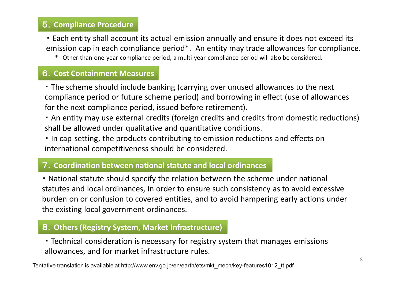### 5.**Compliance Procedure**

・ Each entity shall account its actual emission annually and ensure it does not exceed its emission cap in each compliance period\*. An entity may trade allowances for compliance.

\* Other than one-year compliance period, a multi-year compliance period will also be considered.

### 6.**Cost Containment Measures**

・ The scheme should include banking (carrying over unused allowances to the next compliance period or future scheme period) and borrowing in effect (use of allowances for the next compliance period, issued before retirement).

・ An entity may use external credits (foreign credits and credits from domestic reductions) shall be allowed under qualitative and quantitative conditions.

・ In cap-setting, the products contributing to emission reductions and effects on international competitiveness should be considered.

#### 7.**Coordination between national statute and local ordinances**

・ National statute should specify the relation between the scheme under national statutes and local ordinances, in order to ensure such consistency as to avoid excessive burden on or confusion to covered entities, and to avoid hampering early actions under the existing local government ordinances.

### 8.**Others (Registry System, Market Infrastructure)**

・ Technical consideration is necessary for registry system that manages emissions allowances, and for market infrastructure rules.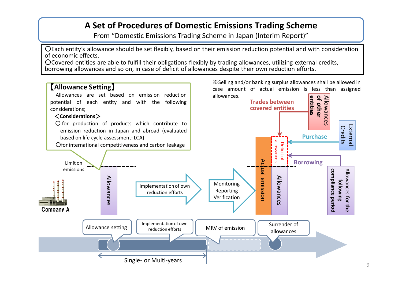### **A Set of Procedures of Domestic Emissions Trading Scheme**

From "Domestic Emissions Trading Scheme in Japan (Interim Report)"

○Each entity's allowance should be set flexibly, based on their emission reduction potential and with consideration of economic effects.

○Covered entities are able to fulfill their obligations flexibly by trading allowances, utilizing external credits, borrowing allowances and so on, in case of deficit of allowances despite their own reduction efforts.

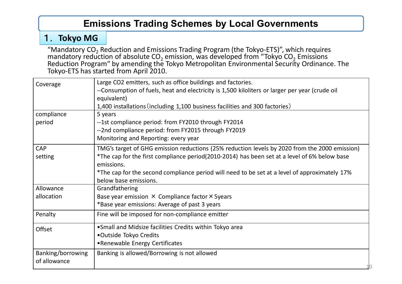# **Emissions Trading Schemes by Local Governments**

# 1. **Tokyo MG**

"Mandatory  $CO<sub>2</sub>$  Reduction and Emissions Trading Program (the Tokyo-ETS)", which requires mandatory reduction of absolute  $CO<sub>2</sub>$  emission, was developed from "Tokyo  $CO<sub>2</sub>$  Emissions" Reduction Program" by amending the Tokyo Metropolitan Environmental Security Ordinance. The Tokyo-ETS has started from April 2010.

| Coverage          | Large CO2 emitters, such as office buildings and factories.                                    |
|-------------------|------------------------------------------------------------------------------------------------|
|                   | --Consumption of fuels, heat and electricity is 1,500 kiloliters or larger per year (crude oil |
|                   | equivalent)                                                                                    |
|                   | 1,400 installations (including 1,100 business facilities and 300 factories)                    |
| compliance        | 5 years                                                                                        |
| period            | --1st compliance period: from FY2010 through FY2014                                            |
|                   | --2nd compliance period: from FY2015 through FY2019                                            |
|                   | Monitoring and Reporting: every year                                                           |
| <b>CAP</b>        | TMG's target of GHG emission reductions (25% reduction levels by 2020 from the 2000 emission)  |
| setting           | *The cap for the first compliance period(2010-2014) has been set at a level of 6% below base   |
|                   | emissions.                                                                                     |
|                   | *The cap for the second compliance period will need to be set at a level of approximately 17%  |
|                   | below base emissions.                                                                          |
| Allowance         | Grandfathering                                                                                 |
| allocation        | Base year emission $\times$ Compliance factor $\times$ 5years                                  |
|                   | *Base year emissions: Average of past 3 years                                                  |
| Penalty           | Fine will be imposed for non-compliance emitter                                                |
| Offset            | • Small and Midsize facilities Credits within Tokyo area                                       |
|                   | •Outside Tokyo Credits                                                                         |
|                   | •Renewable Energy Certificates                                                                 |
| Banking/borrowing | Banking is allowed/Borrowing is not allowed                                                    |
| of allowance      |                                                                                                |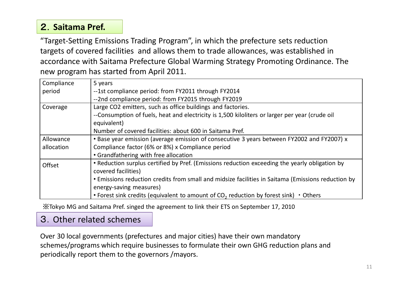# 2.**Saitama Pref.**

"Target-Setting Emissions Trading Program", in which the prefecture sets reduction targets of covered facilities and allows them to trade allowances, was established in accordance with Saitama Prefecture Global Warming Strategy Promoting Ordinance. The new program has started from April 2011.

| Compliance | 5 years                                                                                            |
|------------|----------------------------------------------------------------------------------------------------|
| period     | --1st compliance period: from FY2011 through FY2014                                                |
|            | --2nd compliance period: from FY2015 through FY2019                                                |
| Coverage   | Large CO2 emitters, such as office buildings and factories.                                        |
|            | --Consumption of fuels, heat and electricity is 1,500 kiloliters or larger per year (crude oil     |
|            | equivalent)                                                                                        |
|            | Number of covered facilities: about 600 in Saitama Pref.                                           |
| Allowance  | • Base year emission (average emission of consecutive 3 years between FY2002 and FY2007) x         |
| allocation | Compliance factor (6% or 8%) x Compliance period                                                   |
|            | • Grandfathering with free allocation                                                              |
| Offset     | • Reduction surplus certified by Pref. (Emissions reduction exceeding the yearly obligation by     |
|            | covered facilities)                                                                                |
|            | • Emissions reduction credits from small and midsize facilities in Saitama (Emissions reduction by |
|            | energy-saving measures)                                                                            |
|            | • Forest sink credits (equivalent to amount of $CO2$ reduction by forest sink) • Others            |

※Tokyo MG and Saitama Pref. singed the agreement to link their ETS on September 17, 2010

### 3.Other related schemes

Over 30 local governments (prefectures and major cities) have their own mandatory schemes/programs which require businesses to formulate their own GHG reduction plans and periodically report them to the governors /mayors.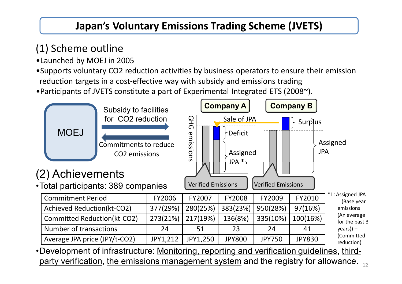# **Japan's Voluntary Emissions Trading Scheme (JVETS)**

# (1) Scheme outline

- •Launched by MOEJ in 2005
- •Supports voluntary CO2 reduction activities by business operators to ensure their emission reduction targets in a cost-effective way with subsidy and emissions trading

•Participants of JVETS constitute a part of Experimental Integrated ETS (2008~).



party verification, the emissions management system and the registry for allowance.  $_{\rm 12}$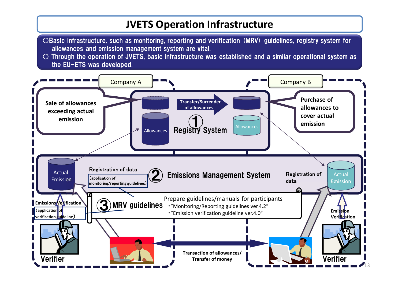# **JVETS Operation Infrastructure**

- ○Basic infrastructure, such as monitoring, reporting and verification (MRV) guidelines, registry system for allowances and emission management system are vital.
- Through the operation of JVETS, basic infrastructure was established and a similar operational system as the EU-ETS was developed.